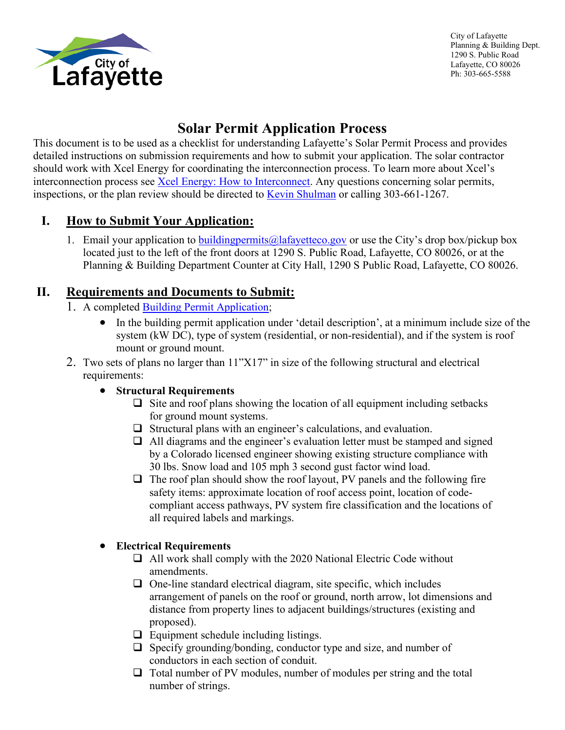

City of Lafayette Planning & Building Dept. 1290 S. Public Road Lafayette, CO 80026 Ph: 303-665-5588

# **Solar Permit Application Process**

This document is to be used as a checklist for understanding Lafayette's Solar Permit Process and provides detailed instructions on submission requirements and how to submit your application. The solar contractor should work with Xcel Energy for coordinating the interconnection process. To learn more about Xcel's interconnection process see [Xcel Energy: How to Interconnect.](https://www.xcelenergy.com/working_with_us/how_to_interconnect) Any questions concerning solar permits, inspections, or the plan review should be directed to [Kevin Shulman](mailto:kevin.shulman@lafayetteco.gov) or calling 303-661-1267.

## **I. How to Submit Your Application:**

1. Email your application to building permits  $\omega$  a fay etteco.gov or use the City's drop box/pickup box located just to the left of the front doors at 1290 S. Public Road, Lafayette, CO 80026, or at the Planning & Building Department Counter at City Hall, 1290 S Public Road, Lafayette, CO 80026.

## **II. Requirements and Documents to Submit:**

- 1. A completed **Building Permit Application**;
	- In the building permit application under 'detail description', at a minimum include size of the system (kW DC), type of system (residential, or non-residential), and if the system is roof mount or ground mount.
- 2. Two sets of plans no larger than 11"X17" in size of the following structural and electrical requirements:

### • **Structural Requirements**

- $\Box$  Site and roof plans showing the location of all equipment including setbacks for ground mount systems.
- $\Box$  Structural plans with an engineer's calculations, and evaluation.
- $\Box$  All diagrams and the engineer's evaluation letter must be stamped and signed by a Colorado licensed engineer showing existing structure compliance with 30 lbs. Snow load and 105 mph 3 second gust factor wind load.
- $\Box$  The roof plan should show the roof layout, PV panels and the following fire safety items: approximate location of roof access point, location of codecompliant access pathways, PV system fire classification and the locations of all required labels and markings.

### • **Electrical Requirements**

- $\Box$  All work shall comply with the 2020 National Electric Code without amendments.
- $\Box$  One-line standard electrical diagram, site specific, which includes arrangement of panels on the roof or ground, north arrow, lot dimensions and distance from property lines to adjacent buildings/structures (existing and proposed).
- $\Box$  Equipment schedule including listings.
- $\Box$  Specify grounding/bonding, conductor type and size, and number of conductors in each section of conduit.
- $\Box$  Total number of PV modules, number of modules per string and the total number of strings.